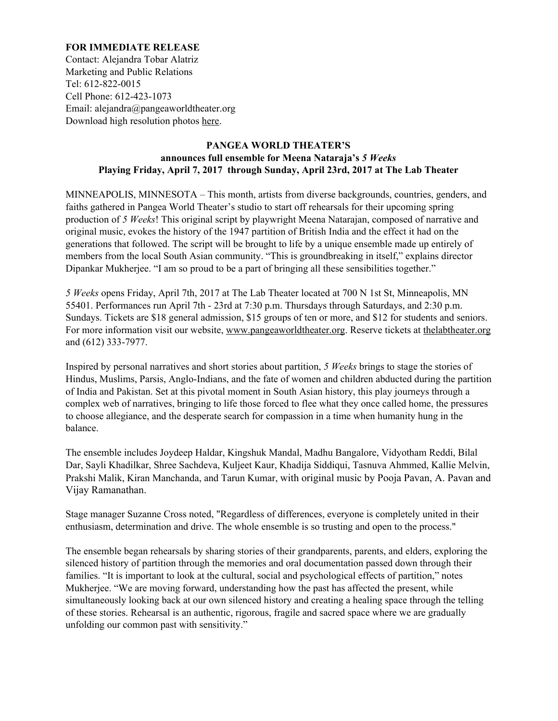## **FOR IMMEDIATE RELEASE**

Contact: Alejandra Tobar Alatriz Marketing and Public Relations Tel: 612-822-0015 Cell Phone: 612-423-1073 Email: alejandra@pangeaworldtheater.org Download high resolution photos [here.](http://www.pangeaworldtheater.org/presskit)

# **PANGEA WORLD THEATER'S announces full ensemble for Meena Nataraja's** *5 Weeks* **Playing Friday, April 7, 2017 through Sunday, April 23rd, 2017 at The Lab Theate[r](mailto:pr@pangeaworldtheater.org)**

MINNEAPOLIS, MINNESOTA – This month, artists from diverse backgrounds, countries, genders, and faiths gathered in Pangea World Theater's studio to start off rehearsals for their upcoming spring production of *5 Weeks*! This original script by playwright Meena Natarajan, composed of narrative and original music, evokes the history of the 1947 partition of British India and the effect it had on the generations that followed. The script will be brought to life by a unique ensemble made up entirely of members from the local South Asian community. "This is groundbreaking in itself," explains director Dipankar Mukherjee. "I am so proud to be a part of bringing all these sensibilities together."

*5 Weeks* opens Friday, April 7th, 2017 at The Lab Theater located at 700 N 1st St, Minneapolis, MN 55401. Performances run April 7th - 23rd at 7:30 p.m. Thursdays through Saturdays, and 2:30 p.m. Sundays. Tickets are \$18 general admission, \$15 groups of ten or more, and \$12 for students and seniors. For more information visit our website, [www.pangeaworldtheater.org.](http://www.pangeaworldtheater.org/) Reserve tickets at the labtheater.org and (612) 333-7977.

Inspired by personal narratives and short stories about partition, *5 Weeks* brings to stage the stories of Hindus, Muslims, Parsis, Anglo-Indians, and the fate of women and children abducted during the partition of India and Pakistan. Set at this pivotal moment in South Asian history, this play journeys through a complex web of narratives, bringing to life those forced to flee what they once called home, the pressures to choose allegiance, and the desperate search for compassion in a time when humanity hung in the balance.

The ensemble includes Joydeep Haldar, Kingshuk Mandal, Madhu Bangalore, Vidyotham Reddi, Bilal Dar, Sayli Khadilkar, Shree Sachdeva, Kuljeet Kaur, Khadija Siddiqui, Tasnuva Ahmmed, Kallie Melvin, Prakshi Malik, Kiran Manchanda, and Tarun Kumar, with original music by Pooja Pavan, A. Pavan and Vijay Ramanathan.

Stage manager Suzanne Cross noted, "Regardless of differences, everyone is completely united in their enthusiasm, determination and drive. The whole ensemble is so trusting and open to the process."

The ensemble began rehearsals by sharing stories of their grandparents, parents, and elders, exploring the silenced history of partition through the memories and oral documentation passed down through their families. "It is important to look at the cultural, social and psychological effects of partition," notes Mukherjee. "We are moving forward, understanding how the past has affected the present, while simultaneously looking back at our own silenced history and creating a healing space through the telling of these stories. Rehearsal is an authentic, rigorous, fragile and sacred space where we are gradually unfolding our common past with sensitivity."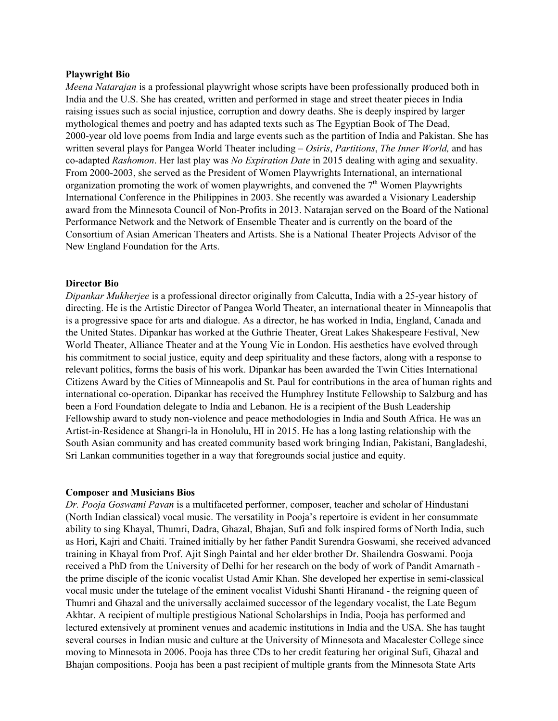### **Playwright Bio**

*Meena Natarajan* is a professional playwright whose scripts have been professionally produced both in India and the U.S. She has created, written and performed in stage and street theater pieces in India raising issues such as social injustice, corruption and dowry deaths. She is deeply inspired by larger mythological themes and poetry and has adapted texts such as The Egyptian Book of The Dead, 2000-year old love poems from India and large events such as the partition of India and Pakistan. She has written several plays for Pangea World Theater including – *Osiris*, *Partitions*, *The Inner World,* and has co-adapted *Rashomon*. Her last play was *No Expiration Date* in 2015 dealing with aging and sexuality. From 2000-2003, she served as the President of Women Playwrights International, an international organization promoting the work of women playwrights, and convened the  $7<sup>th</sup>$  Women Playwrights International Conference in the Philippines in 2003. She recently was awarded a Visionary Leadership award from the Minnesota Council of Non-Profits in 2013. Natarajan served on the Board of the National Performance Network and the Network of Ensemble Theater and is currently on the board of the Consortium of Asian American Theaters and Artists. She is a National Theater Projects Advisor of the New England Foundation for the Arts.

### **Director Bio**

*Dipankar Mukherjee* is a professional director originally from Calcutta, India with a 25-year history of directing. He is the Artistic Director of Pangea World Theater, an international theater in Minneapolis that is a progressive space for arts and dialogue. As a director, he has worked in India, England, Canada and the United States. Dipankar has worked at the Guthrie Theater, Great Lakes Shakespeare Festival, New World Theater, Alliance Theater and at the Young Vic in London. His aesthetics have evolved through his commitment to social justice, equity and deep spirituality and these factors, along with a response to relevant politics, forms the basis of his work. Dipankar has been awarded the Twin Cities International Citizens Award by the Cities of Minneapolis and St. Paul for contributions in the area of human rights and international co-operation. Dipankar has received the Humphrey Institute Fellowship to Salzburg and has been a Ford Foundation delegate to India and Lebanon. He is a recipient of the Bush Leadership Fellowship award to study non-violence and peace methodologies in India and South Africa. He was an Artist-in-Residence at Shangri-la in Honolulu, HI in 2015. He has a long lasting relationship with the South Asian community and has created community based work bringing Indian, Pakistani, Bangladeshi, Sri Lankan communities together in a way that foregrounds social justice and equity.

### **Composer and Musicians Bios**

*Dr. Pooja Goswami Pavan* is a multifaceted performer, composer, teacher and scholar of Hindustani (North Indian classical) vocal music. The versatility in Pooja's repertoire is evident in her consummate ability to sing Khayal, Thumri, Dadra, Ghazal, Bhajan, Sufi and folk inspired forms of North India, such as Hori, Kajri and Chaiti. Trained initially by her father Pandit Surendra Goswami, she received advanced training in Khayal from Prof. Ajit Singh Paintal and her elder brother Dr. Shailendra Goswami. Pooja received a PhD from the University of Delhi for her research on the body of work of Pandit Amarnath the prime disciple of the iconic vocalist Ustad Amir Khan. She developed her expertise in semi-classical vocal music under the tutelage of the eminent vocalist Vidushi Shanti Hiranand - the reigning queen of Thumri and Ghazal and the universally acclaimed successor of the legendary vocalist, the Late Begum Akhtar. A recipient of multiple prestigious National Scholarships in India, Pooja has performed and lectured extensively at prominent venues and academic institutions in India and the USA. She has taught several courses in Indian music and culture at the University of Minnesota and Macalester College since moving to Minnesota in 2006. Pooja has three CDs to her credit featuring her original Sufi, Ghazal and Bhajan compositions. Pooja has been a past recipient of multiple grants from the Minnesota State Arts